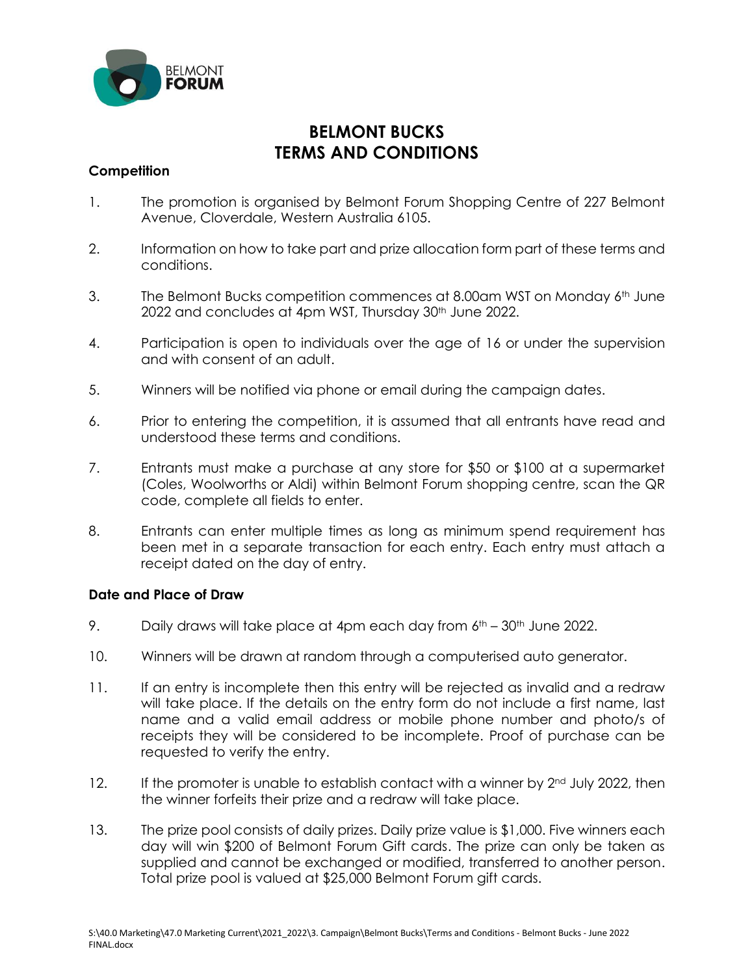

## **BELMONT BUCKS TERMS AND CONDITIONS**

## **Competition**

- 1. The promotion is organised by Belmont Forum Shopping Centre of 227 Belmont Avenue, Cloverdale, Western Australia 6105.
- 2. Information on how to take part and prize allocation form part of these terms and conditions.
- 3. The Belmont Bucks competition commences at 8.00am WST on Monday  $6<sup>th</sup>$  June 2022 and concludes at 4pm WST, Thursday 30<sup>th</sup> June 2022.
- 4. Participation is open to individuals over the age of 16 or under the supervision and with consent of an adult.
- 5. Winners will be notified via phone or email during the campaign dates.
- 6. Prior to entering the competition, it is assumed that all entrants have read and understood these terms and conditions.
- 7. Entrants must make a purchase at any store for \$50 or \$100 at a supermarket (Coles, Woolworths or Aldi) within Belmont Forum shopping centre, scan the QR code, complete all fields to enter.
- 8. Entrants can enter multiple times as long as minimum spend requirement has been met in a separate transaction for each entry. Each entry must attach a receipt dated on the day of entry.

## **Date and Place of Draw**

- 9. Daily draws will take place at 4pm each day from  $6<sup>th</sup> 30<sup>th</sup>$  June 2022.
- 10. Winners will be drawn at random through a computerised auto generator.
- 11. If an entry is incomplete then this entry will be rejected as invalid and a redraw will take place. If the details on the entry form do not include a first name, last name and a valid email address or mobile phone number and photo/s of receipts they will be considered to be incomplete. Proof of purchase can be requested to verify the entry.
- 12. If the promoter is unable to establish contact with a winner by  $2<sup>nd</sup>$  July 2022, then the winner forfeits their prize and a redraw will take place.
- 13. The prize pool consists of daily prizes. Daily prize value is \$1,000. Five winners each day will win \$200 of Belmont Forum Gift cards. The prize can only be taken as supplied and cannot be exchanged or modified, transferred to another person. Total prize pool is valued at \$25,000 Belmont Forum gift cards.